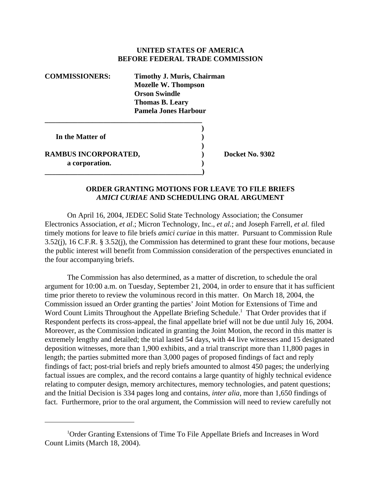## **UNITED STATES OF AMERICA BEFORE FEDERAL TRADE COMMISSION**

| <b>COMMISSIONERS:</b> | <b>Timothy J. Muris, Chairman</b><br><b>Mozelle W. Thompson</b><br><b>Orson Swindle</b><br><b>Thomas B. Leary</b><br><b>Pamela Jones Harbour</b> |
|-----------------------|--------------------------------------------------------------------------------------------------------------------------------------------------|
|                       |                                                                                                                                                  |

**\_\_\_\_\_\_\_\_\_\_\_\_\_\_\_\_\_\_\_\_\_\_\_\_\_\_\_\_\_\_\_\_\_\_\_\_\_\_\_\_\_\_\_)** 

 **In the Matter of )**

**RAMBUS INCORPORATED, Docket No. 9302 a corporation. )**

## **ORDER GRANTING MOTIONS FOR LEAVE TO FILE BRIEFS** *AMICI CURIAE* **AND SCHEDULING ORAL ARGUMENT**

**)**

On April 16, 2004, JEDEC Solid State Technology Association; the Consumer Electronics Association, *et al*.; Micron Technology, Inc., *et al.*; and Joseph Farrell, *et al.* filed timely motions for leave to file briefs *amici curiae* in this matter. Pursuant to Commission Rule 3.52(j), 16 C.F.R. § 3.52(j), the Commission has determined to grant these four motions, because the public interest will benefit from Commission consideration of the perspectives enunciated in the four accompanying briefs.

The Commission has also determined, as a matter of discretion, to schedule the oral argument for 10:00 a.m. on Tuesday, September 21, 2004, in order to ensure that it has sufficient time prior thereto to review the voluminous record in this matter. On March 18, 2004, the Commission issued an Order granting the parties' Joint Motion for Extensions of Time and Word Count Limits Throughout the Appellate Briefing Schedule.<sup>1</sup> That Order provides that if Respondent perfects its cross-appeal, the final appellate brief will not be due until July 16, 2004. Moreover, as the Commission indicated in granting the Joint Motion, the record in this matter is extremely lengthy and detailed; the trial lasted 54 days, with 44 live witnesses and 15 designated deposition witnesses, more than 1,900 exhibits, and a trial transcript more than 11,800 pages in length; the parties submitted more than 3,000 pages of proposed findings of fact and reply findings of fact; post-trial briefs and reply briefs amounted to almost 450 pages; the underlying factual issues are complex, and the record contains a large quantity of highly technical evidence relating to computer design, memory architectures, memory technologies, and patent questions; and the Initial Decision is 334 pages long and contains, *inter alia*, more than 1,650 findings of fact. Furthermore, prior to the oral argument, the Commission will need to review carefully not

<sup>&</sup>lt;sup>1</sup>Order Granting Extensions of Time To File Appellate Briefs and Increases in Word Count Limits (March 18, 2004).